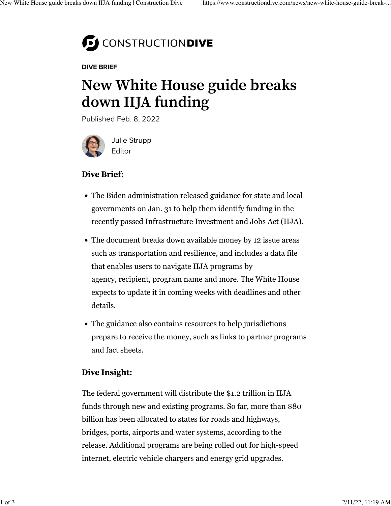

DIVE BRIEF

# **New White House guide breaks down IIJA funding**

Published Feb. 8, 2022



[Julie Strupp](https://www.constructiondive.com/editors/jstrupp/) Editor

## **Dive Brief:**

- The Biden administration released [guidance for state and local](https://www.whitehouse.gov/build/) [governments](https://www.whitehouse.gov/build/) on Jan. 31 to help them identify funding in the recently passed Infrastructure Investment and Jobs Act (IIJA).
- The document breaks down available money by 12 issue areas such as transportation and resilience, and includes a data file that enables users to navigate IIJA programs by agency, recipient, program name and more. The White House expects to update it in coming weeks with deadlines and other details.
- The guidance also contains resources to help jurisdictions prepare to receive the money, such as links to partner programs and fact sheets.

### **Dive Insight:**

The federal government will distribute the \$1.2 trillion in IIJA funds through new and existing programs. So far, more than \$80 billion has been allocated to states for roads and highways, [bridges](https://www.constructiondive.com/news/265b-from-iija-targets-bridge-repair-replacement-projects/617241/), ports, airports and [water systems,](https://www.constructiondive.com/news/first-bucket-federal-infrastructure-act-iija-funds-states-water-lead-pipes/611069/) according to the release. Additional programs are being rolled out for high-speed internet, electric vehicle chargers and energy grid upgrades.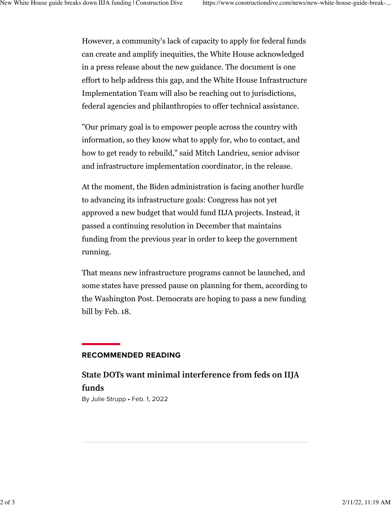However, a community's lack of capacity to apply for federal funds can create and amplify inequities, the White House acknowledged in a [press release about the new guidance.](https://www.whitehouse.gov/briefing-room/statements-releases/2022/01/31/biden-administration-releases-bipartisan-infrastructure-law-guidebook-for-state-local-tribal-and-territorial-governments/) The document is one effort to help address this gap, and the White House Infrastructure Implementation Team will also be reaching out to jurisdictions, federal agencies and philanthropies to offer technical assistance.

"Our primary goal is to empower people across the country with information, so they know what to apply for, who to contact, and how to get ready to rebuild," said Mitch Landrieu, senior advisor and infrastructure implementation coordinator, in the release.

At the moment, the Biden administration is facing another hurdle to advancing its infrastructure goals: Congress has not yet approved a new budget that would fund IIJA projects. Instead, it passed a continuing resolution in December that maintains funding from the previous year in order to keep the government running.

That means new infrastructure programs cannot be launched, and some states have pressed pause on planning for them, [according to](https://www.washingtonpost.com/transportation/2022/01/29/infrastructure-climate-goals-delay/) [the Washington Post](https://www.washingtonpost.com/transportation/2022/01/29/infrastructure-climate-goals-delay/). Democrats are [hoping to pass a new funding](https://www.nbcnews.com/politics/congress/democrats-aiming-pass-new-government-funding-bill-feb-18-deadline-n1288352) [bill](https://www.nbcnews.com/politics/congress/democrats-aiming-pass-new-government-funding-bill-feb-18-deadline-n1288352) by Feb. 18.

#### RECOMMENDED READING

## **[State DOTs want minimal interference from feds on IIJA](https://www.constructiondive.com/news/state-dot-transportation-aashto-minimal-interference-federal-government-road-spending-iija/618100/) [funds](https://www.constructiondive.com/news/state-dot-transportation-aashto-minimal-interference-federal-government-road-spending-iija/618100/)**

By [Julie Strupp](https://www.constructiondive.com/editors/jstrupp/) • Feb. 1, 2022